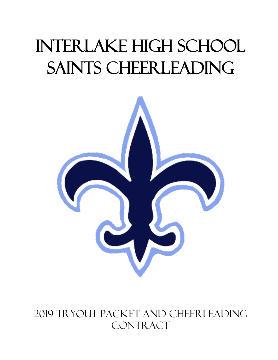# INTERLAKE HIGH SCHOOL SAINTS CHEERLEADING



## 2019 Tryout Packet and Cheerleading CONTRACT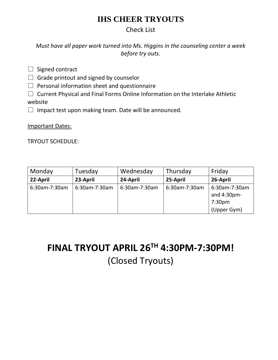## **IHS CHEER TRYOUTS**

#### Check List

*Must have all paper work turned into Ms. Higgins in the counseling center a week before try outs.*

 $\Box$  Signed contract

 $\Box$  Grade printout and signed by counselor

 $\Box$  Personal information sheet and questionnaire

 $\square$  Current Physical and Final Forms Online Information on the Interlake Athletic website

 $\Box$  Impact test upon making team. Date will be announced.

Important Dates:

TRYOUT SCHEDULE:

| Monday        | Tuesday       | Wednesday     | Thursday      | Friday                                                            |
|---------------|---------------|---------------|---------------|-------------------------------------------------------------------|
| 22-April      | 23-April      | 24-April      | 25-April      | 26-April                                                          |
| 6:30am-7:30am | 6:30am-7:30am | 6:30am-7:30am | 6:30am-7:30am | 6:30am-7:30am<br>and 4:30pm-<br>7:30 <sub>pm</sub><br>(Upper Gym) |

# **FINAL TRYOUT APRIL 26 TH 4:30PM-7:30PM!** (Closed Tryouts)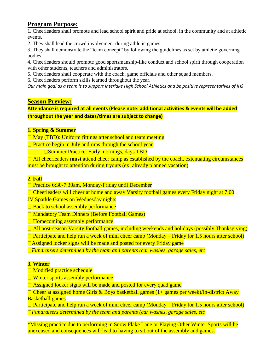#### **Program Purpose:**

1. Cheerleaders shall promote and lead school spirit and pride at school, in the community and at athletic events.

2. They shall lead the crowd involvement during athletic games.

3. They shall demonstrate the "team concept" by following the guidelines as set by athletic governing bodies.

4. Cheerleaders should promote good sportsmanship-like conduct and school spirit through cooperation with other students, teachers and administrators.

5. Cheerleaders shall cooperate with the coach, game officials and other squad members.

6. Cheerleaders perform skills learned throughout the year.

*Our main goal as a team is to support Interlake High School Athletics and be positive representatives of IHS*

#### **Season Preview:**

**Attendance is required at all events (Please note: additional activities & events will be added throughout the year and dates/times are subject to change)** 

#### **1. Spring & Summer**

 $\Box$  May (TBD): Uniform fittings after school and team meeting

 $\Box$  Practice begin in July and runs through the school year

**□ Summer Practice: Early mornings, days TBD** 

□ All cheerleaders **must** attend cheer camp as established by the coach, extenuating circumstances must be brought to attention during tryouts (ex: already planned vacation)

#### **2. Fall**

□ Practice 6:30-7:30am, Monday-Friday until December

 $\Box$  Cheerleaders will cheer at home and away Varsity football games every Friday night at 7:00

JV Sparkle Games on Wednesday nights

 $\Box$  Back to school assembly performance

□ Mandatory Team Dinners (Before Football Games)

**□ Homecoming assembly performance** 

 $\Box$  All post-season Varsity football games, including weekends and holidays (possibly Thanksgiving)

 $\Box$  Participate and help run a week of mini cheer camp (Monday – Friday for 1.5 hours after school)

 $\Box$  Assigned locker signs will be made and posted for every Friday game

*Fundraisers determined by the team and parents (car washes, garage sales, etc*

#### **3. Winter**

- □ Modified practice schedule
- □ Winter sports assembly performance

 $\Box$  Assigned locker signs will be made and posted for every quad game

 $\Box$  Cheer at assigned home Girls & Boys basketball games (1+ games per week)/In-district Away Basketball games

 $\Box$  Participate and help run a week of mini cheer camp (Monday – Friday for 1.5 hours after school) *Fundraisers determined by the team and parents (car washes, garage sales, etc*

\*Missing practice due to performing in Snow Flake Lane or Playing Other Winter Sports will be unexcused and consequences will lead to having to sit out of the assembly and games.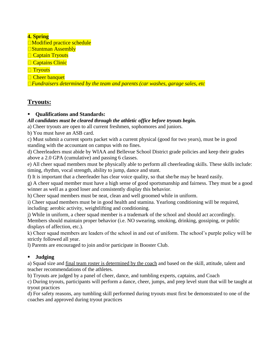#### **4. Spring**

■Modified practice schedule

**□Stuntman Assembly** 

**□ Captain Tryouts** 

□ Captains Clinic

**Tryouts** 

**□ Cheer banquet** 

*Fundraisers determined by the team and parents (car washes, garage sales, etc*

#### **Tryouts:**

#### ▪ **Qualifications and Standards:**

#### *All candidates must be cleared through the athletic office before tryouts begin.*

a) Cheer tryouts are open to all current freshmen, sophomores and juniors.

b) You must have an ASB card.

c) Must submit a current sports packet with a current physical (good for two years), must be in good standing with the accountant on campus with no fines.

d) Cheerleaders must abide by WIAA and Bellevue School District grade policies and keep their grades above a 2.0 GPA (cumulative) and passing 6 classes.

e) All cheer squad members must be physically able to perform all cheerleading skills. These skills include: timing, rhythm, vocal strength, ability to jump, dance and stunt.

f) It is important that a cheerleader has clear voice quality, so that she/he may be heard easily.

g) A cheer squad member must have a high sense of good sportsmanship and fairness. They must be a good winner as well as a good loser and consistently display this behavior.

h) Cheer squad members must be neat, clean and well groomed while in uniform.

i) Cheer squad members must be in good health and stamina. Yearlong conditioning will be required, including: aerobic activity, weightlifting and conditioning.

j) While in uniform, a cheer squad member is a trademark of the school and should act accordingly. Members should maintain proper behavior (i.e. NO swearing, smoking, drinking, gossiping, or public displays of affection, etc.).

k) Cheer squad members are leaders of the school in and out of uniform. The school's purple policy will be strictly followed all year.

l) Parents are encouraged to join and/or participate in Booster Club.

#### ▪ **Judging**

a) Squad size and final team roster is determined by the coach and based on the skill, attitude, talent and teacher recommendations of the athletes.

b) Tryouts are judged by a panel of cheer, dance, and tumbling experts, captains, and Coach

c) During tryouts, participants will perform a dance, cheer, jumps, and prep level stunt that will be taught at tryout practices

d) For safety reasons, any tumbling skill performed during tryouts must first be demonstrated to one of the coaches and approved during tryout practices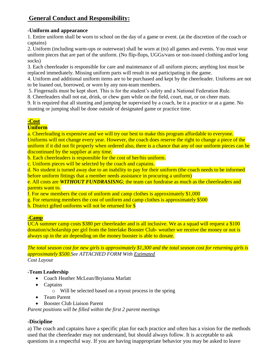#### **General Conduct and Responsibility:**

#### **-Uniform and appearance**

1. Entire uniform shall be worn to school on the day of a game or event. (at the discretion of the coach or captains)

2. Uniform (including warm-ups or outerwear) shall be worn at (to) all games and events. You must wear uniform pieces that are part of the uniform. (No flip-flops, UGGs/vans or non-issued clothing and/or long socks)

3. Each cheerleader is responsible for care and maintenance of all uniform pieces; anything lost must be replaced immediately. Missing uniform parts will result in not participating in the game.

4. Uniform and additional uniform items are to be purchased and kept by the cheerleader. Uniforms are not to be loaned out, borrowed, or worn by any non-team members.

5. Fingernails must be kept short. This is for the student's safety and a National Federation Rule.

8. Cheerleaders shall not eat, drink, or chew gum while on the field, court, mat, or on cheer mats.

9. It is required that all stunting and jumping be supervised by a coach, be it a practice or at a game. No stunting or jumping shall be done outside of designated game or practice time.

#### **-Cost**

#### **Uniform**

a. Cheerleading is expensive and we will try our best to make this program affordable to everyone. Uniforms will not change every year. However, the coach does reserve the right to change a piece of the uniform if it did not fit properly when ordered also, there is a chance that any of our uniform pieces can be discontinued by the supplier at any time.

b. Each cheerleaders is responsible for the cost of her/his uniform.

c. Uniform pieces will be selected by the coach and captains.

d. No student is turned away due to an inability to pay for their uniform (the coach needs to be informed before uniform fittings that a member needs assistance in procuring a uniform)

e. All costs are *WITHOUT FUNDRASISNG*; the team can fundraise as much as the cheerleaders and parents want to.

f. For new members the cost of uniform and camp clothes is approximately \$1,000

g. For returning members the cost of uniform and camp clothes is approximately \$500

h. District gifted uniforms will not be returned for \$

#### **-Camp**

UCA summer camp costs \$380 per cheerleader and is all inclusive. We as a squad will request a \$100 donation/scholarship per girl from the Interlake Booster Club- weather we receive the money or not is always up in the air depending on the money booster is able to donate.

*The total season cost for new girls is approximately \$1,300 and the total season cost for returning girls is approximately \$500.See ATTACHED FORM With Estimated Cost Layout* 

#### **-Team Leadership**

- Coach Heather McLean/Bryianna Marlatt
- Captains
	- o Will be selected based on a tryout process in the spring
- Team Parent
- Booster Club Liaison Parent

*Parent positions will be filled within the first 2 parent meetings*

#### **-Discipline**

a) The coach and captains have a specific plan for each practice and often has a vision for the methods used that the cheerleader may not understand, but should always follow. It is acceptable to ask questions in a respectful way. If you are having inappropriate behavior you may be asked to leave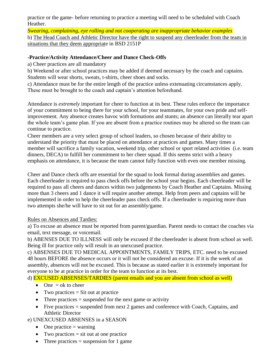practice or the game- before returning to practice a meeting will need to be scheduled with Coach Heather.

*Swearing, complaining, eye rolling and not cooperating are inappropriate behavior examples* b) The Head Coach and Athletic Director have the right to suspend any cheerleader from the team in situations that they deem appropriate in BSD 2151P

#### **-Practice/Activity Attendance/Cheer and Dance Check-Offs**

a) Cheer practices are all mandatory

b) Weekend or after school practices may be added if deemed necessary by the coach and captains. Students will wear shorts, sweats, t-shirts, cheer shoes and socks.

c) Attendance must be for the entire length of the practice unless extenuating circumstances apply. These must be brought to the coach and captain's attention beforehand.

Attendance is *extremely* important for cheer to function at its best. These rules enforce the importance of your commitment to being there for your school, for your teammates, for your own pride and selfimprovement. Any absence creates havoc with formations and stunts; an absence can literally tear apart the whole team's game plan. If you are absent from a practice routines may be altered so the team can continue to practice.

Cheer members are a very select group of school leaders, so chosen because of their ability to understand the priority that must be placed on attendance at practices and games. Many times a member will sacrifice a family vacation, weekend trip, other school or sport related activities (i.e. team dinners, DECA) to fulfill her commitment to her cheer squad. If this seems strict with a heavy emphasis on attendance, it is because the team cannot fully function with even one member missing.

Cheer and Dance check offs are essential for the squad to look formal during assemblies and games. Each cheerleader is required to pass check offs before the school year begins. Each cheerleader will be required to pass all cheers and dances within two judgements by Coach Heather and Captains. Missing more than 3 cheers and 1 dance it will require another attempt. Help from peers and captains will be implemented in order to help the cheerleader pass check offs. If a cheerleader is requiring more than two attempts she/he will have to sit out for an assembly/game.

#### Rules on Absences and Tardies:

a) To excuse an absence must be reported from parent/guardian. Parent needs to contact the coaches via email, text message, or voicemail.

b) ABENSES DUE TO ILLNESS will only be excused if the cheerleader is absent from school as well. Being ill for practice only will result in an unexcused practice.

c) ABSENSES DUE TO MEDICAL APPOINTMENTS, FAMILY TRIPS, ETC. need to be excused 48 hours BEFORE the absence occurs or it will not be considered an excuse. If it is the week of an assembly, absences will not be excused. This is because as stated earlier it is extremely important for everyone to be at practice in order for the team to function at its best.

d) EXCUSED ABSENSES/TARDIES (parent emails and you are absent from school as well)

- One  $=$  ok to cheer
- Two practices  $=$  Sit out at practice
- Three practices  $=$  suspended for the next game or activity
- Five practices  $=$  suspended from next 2 games and conference with Coach, Captains, and Athletic Director

#### e) UNEXCUSED ABSENSES in a SEASON

- One practice  $=$  warning
- Two practices  $=$  sit out at one practice
- Three practices  $=$  suspension for 1 game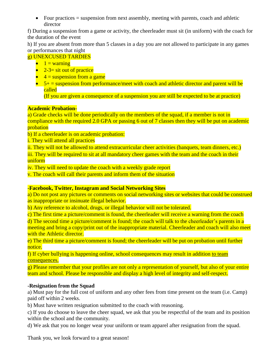• Four practices  $=$  suspension from next assembly, meeting with parents, coach and athletic director

f) During a suspension from a game or activity, the cheerleader must sit (in uniform) with the coach for the duration of the event

h) If you are absent from more than 5 classes in a day you are not allowed to participate in any games or performances that night

#### g) UNEXCUSED TARDIES

- $\bullet$  1 = warning
- $2-3=$  sit out of practice
- $\bullet$  4 = suspension from a game
- $5+$  = suspension from performance/meet with coach and athletic director and parent will be called

(If you are given a consequence of a suspension you are still be expected to be at practice)

#### **Academic Probation-**

a) Grade checks will be done periodically on the members of the squad, if a member is not in compliance with the required 2.0 GPA or passing 6 out of 7 classes then they will be put on academic probation

b) If a cheerleader is on academic probation:

i. They will attend all practices

ii. They will not be allowed to attend extracurricular cheer activities (banquets, team dinners, etc.)

iii. They will be required to sit at all mandatory cheer games with the team and the coach in their uniform

iv. They will need to update the coach with a weekly grade report

v. The coach will call their parents and inform them of the situation

#### **-Facebook, Twitter, Instagram and Social Networking Sites**

a) Do not post any pictures or comments on social networking sites or websites that could be construed as inappropriate or insinuate illegal behavior.

b) Any reference to alcohol, drugs, or illegal behavior will not be tolerated.

c) The first time a picture/comment is found, the cheerleader will receive a warning from the coach

d) The second time a picture/comment is found; the coach will talk to the cheerleader's parents in a meeting and bring a copy/print out of the inappropriate material. Cheerleader and coach will also meet with the Athletic director.

e) The third time a picture/comment is found; the cheerleader will be put on probation until further notice.

f) If cyber bullying is happening online, school consequences may result in addition to team consequences.

g) Please remember that your profiles are not only a representation of yourself, but also of your entire team and school. Please be responsible and display a high level of integrity and self-respect.

#### **-Resignation from the Squad**

a) Must pay for the full cost of uniform and any other fees from time present on the team (i.e. Camp) paid off within 2 weeks.

b) Must have written resignation submitted to the coach with reasoning.

c) If you do choose to leave the cheer squad, we ask that you be respectful of the team and its position within the school and the community.

d) We ask that you no longer wear your uniform or team apparel after resignation from the squad.

Thank you, we look forward to a great season!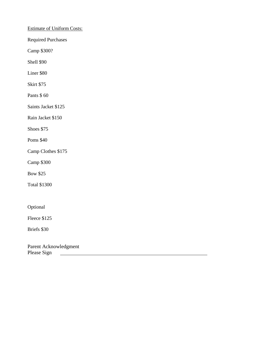#### Estimate of Uniform Costs:

Required Purchases

Camp \$300?

Shell \$90

Liner \$80

Skirt \$75

Pants \$ 60

Saints Jacket \$125

Rain Jacket \$150

Shoes \$75

Poms \$40

Camp Clothes \$175

Camp \$300

Bow \$25

Total \$1300

Optional

Fleece \$125

Briefs \$30

Parent Acknowledgment Please Sign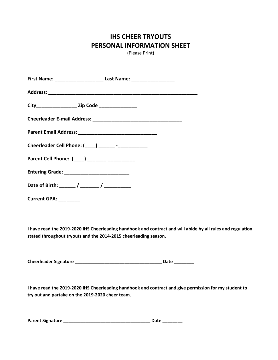### **IHS CHEER TRYOUTS PERSONAL INFORMATION SHEET**

(Please Print)

| First Name: ______________________________ Last Name: __________________________ |  |
|----------------------------------------------------------------------------------|--|
|                                                                                  |  |
|                                                                                  |  |
|                                                                                  |  |
|                                                                                  |  |
| Cheerleader Cell Phone: (____) _______ -_____________                            |  |
|                                                                                  |  |
|                                                                                  |  |
|                                                                                  |  |
| <b>Current GPA: _________</b>                                                    |  |

**I have read the 2019-2020 IHS Cheerleading handbook and contract and will abide by all rules and regulation stated throughout tryouts and the 2014-2015 cheerleading season.** 

**Cheerleader Signature \_\_\_\_\_\_\_\_\_\_\_\_\_\_\_\_\_\_\_\_\_\_\_\_\_\_\_\_\_\_\_\_\_\_\_ Date \_\_\_\_\_\_\_\_**

**I have read the 2019-2020 IHS Cheerleading handbook and contract and give permission for my student to try out and partake on the 2019-2020 cheer team.** 

| <b>Parent Signature</b> |  | Date |  |
|-------------------------|--|------|--|
|-------------------------|--|------|--|